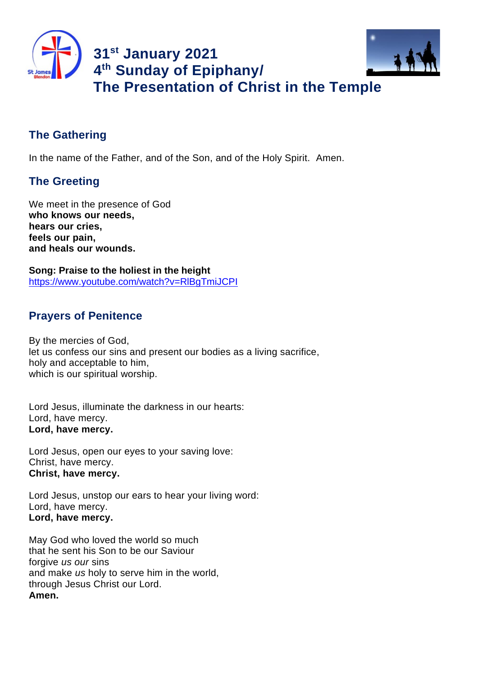

# **The Gathering**

In the name of the Father, and of the Son, and of the Holy Spirit. Amen.

## **The Greeting**

We meet in the presence of God **who knows our needs, hears our cries, feels our pain, and heals our wounds.**

**Song: Praise to the holiest in the height** https://www.youtube.com/watch?v=RlBgTmiJCPI

## **Prayers of Penitence**

By the mercies of God, let us confess our sins and present our bodies as a living sacrifice, holy and acceptable to him, which is our spiritual worship.

Lord Jesus, illuminate the darkness in our hearts: Lord, have mercy. **Lord, have mercy.**

Lord Jesus, open our eyes to your saving love: Christ, have mercy. **Christ, have mercy.**

Lord Jesus, unstop our ears to hear your living word: Lord, have mercy. **Lord, have mercy.**

May God who loved the world so much that he sent his Son to be our Saviour forgive *us our* sins and make *us* holy to serve him in the world, through Jesus Christ our Lord. **Amen.**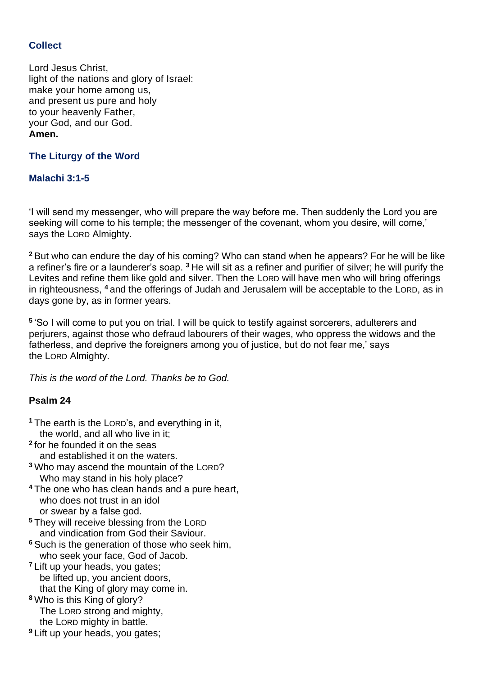## **Collect**

Lord Jesus Christ, light of the nations and glory of Israel: make your home among us, and present us pure and holy to your heavenly Father, your God, and our God. **Amen.**

**The Liturgy of the Word**

## **Malachi 3:1-5**

'I will send my messenger, who will prepare the way before me. Then suddenly the Lord you are seeking will come to his temple; the messenger of the covenant, whom you desire, will come,' says the LORD Almighty.

**<sup>2</sup>** But who can endure the day of his coming? Who can stand when he appears? For he will be like a refiner's fire or a launderer's soap. **<sup>3</sup>** He will sit as a refiner and purifier of silver; he will purify the Levites and refine them like gold and silver. Then the LORD will have men who will bring offerings in righteousness, **<sup>4</sup>** and the offerings of Judah and Jerusalem will be acceptable to the LORD, as in days gone by, as in former years.

**5** 'So I will come to put you on trial. I will be quick to testify against sorcerers, adulterers and perjurers, against those who defraud labourers of their wages, who oppress the widows and the fatherless, and deprive the foreigners among you of justice, but do not fear me,' says the LORD Almighty.

*This is the word of the Lord. Thanks be to God.*

## **Psalm 24**

- **<sup>1</sup>** The earth is the LORD's, and everything in it, the world, and all who live in it;
- **2** for he founded it on the seas and established it on the waters.
- **<sup>3</sup>** Who may ascend the mountain of the LORD? Who may stand in his holy place?
- **<sup>4</sup>** The one who has clean hands and a pure heart, who does not trust in an idol or swear by a false god.
- **<sup>5</sup>** They will receive blessing from the LORD and vindication from God their Saviour.
- **<sup>6</sup>** Such is the generation of those who seek him, who seek your face, God of Jacob.
- **<sup>7</sup>** Lift up your heads, you gates; be lifted up, you ancient doors, that the King of glory may come in.
- **<sup>8</sup>** Who is this King of glory? The LORD strong and mighty, the LORD mighty in battle.
- **<sup>9</sup>** Lift up your heads, you gates;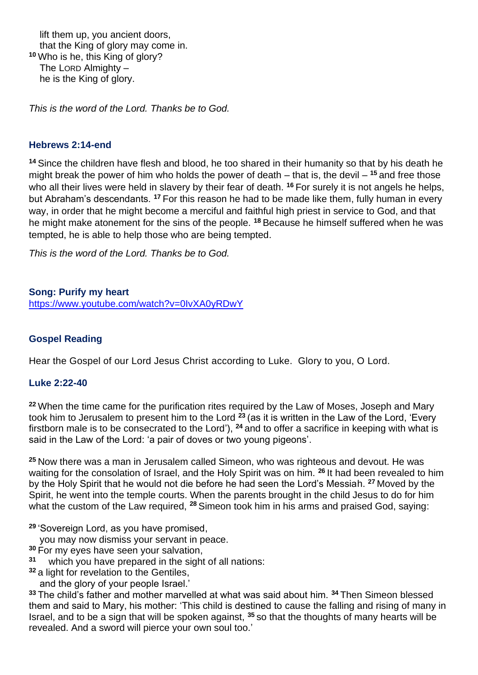lift them up, you ancient doors, that the King of glory may come in. **<sup>10</sup>** Who is he, this King of glory? The LORD Almighty – he is the King of glory.

*This is the word of the Lord. Thanks be to God.*

#### **Hebrews 2:14-end**

**<sup>14</sup>** Since the children have flesh and blood, he too shared in their humanity so that by his death he might break the power of him who holds the power of death – that is, the devil – **<sup>15</sup>** and free those who all their lives were held in slavery by their fear of death. **<sup>16</sup>** For surely it is not angels he helps, but Abraham's descendants. **<sup>17</sup>** For this reason he had to be made like them, fully human in every way, in order that he might become a merciful and faithful high priest in service to God, and that he might make atonement for the sins of the people. **<sup>18</sup>** Because he himself suffered when he was tempted, he is able to help those who are being tempted.

*This is the word of the Lord. Thanks be to God.* 

#### **Song: Purify my heart**

https://www.youtube.com/watch?v=0IvXA0yRDwY

#### **Gospel Reading**

Hear the Gospel of our Lord Jesus Christ according to Luke. Glory to you, O Lord.

#### **Luke 2:22-40**

**<sup>22</sup>** When the time came for the purification rites required by the Law of Moses, Joseph and Mary took him to Jerusalem to present him to the Lord **<sup>23</sup>** (as it is written in the Law of the Lord, 'Every firstborn male is to be consecrated to the Lord'), **<sup>24</sup>** and to offer a sacrifice in keeping with what is said in the Law of the Lord: 'a pair of doves or two young pigeons'.

**<sup>25</sup>** Now there was a man in Jerusalem called Simeon, who was righteous and devout. He was waiting for the consolation of Israel, and the Holy Spirit was on him. **<sup>26</sup>** It had been revealed to him by the Holy Spirit that he would not die before he had seen the Lord's Messiah. **<sup>27</sup>** Moved by the Spirit, he went into the temple courts. When the parents brought in the child Jesus to do for him what the custom of the Law required, **<sup>28</sup>** Simeon took him in his arms and praised God, saying:

**<sup>29</sup>** 'Sovereign Lord, as you have promised,

you may now dismiss your servant in peace.

- **<sup>30</sup>** For my eyes have seen your salvation,
- **31** which you have prepared in the sight of all nations:
- **<sup>32</sup>** a light for revelation to the Gentiles,
	- and the glory of your people Israel.'

**<sup>33</sup>** The child's father and mother marvelled at what was said about him. **<sup>34</sup>** Then Simeon blessed them and said to Mary, his mother: 'This child is destined to cause the falling and rising of many in Israel, and to be a sign that will be spoken against, **<sup>35</sup>** so that the thoughts of many hearts will be revealed. And a sword will pierce your own soul too.'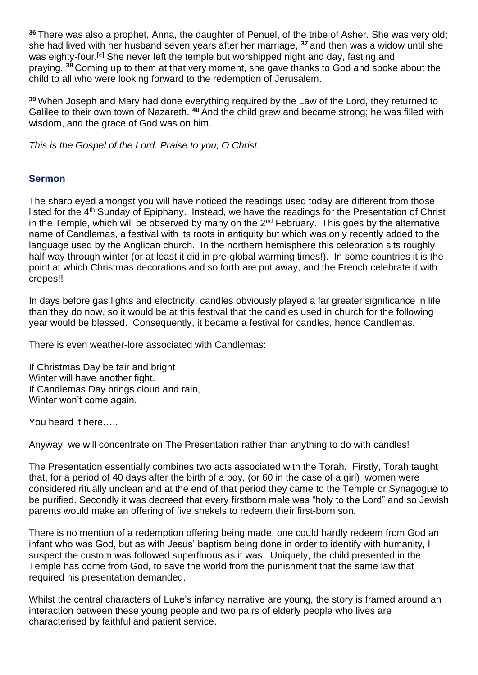**<sup>36</sup>** There was also a prophet, Anna, the daughter of Penuel, of the tribe of Asher. She was very old; she had lived with her husband seven years after her marriage, **<sup>37</sup>** and then was a widow until she was eighty-four.<sup>[e]</sup> She never left the temple but worshipped night and day, fasting and praying. **<sup>38</sup>** Coming up to them at that very moment, she gave thanks to God and spoke about the child to all who were looking forward to the redemption of Jerusalem.

**<sup>39</sup>** When Joseph and Mary had done everything required by the Law of the Lord, they returned to Galilee to their own town of Nazareth. **<sup>40</sup>** And the child grew and became strong; he was filled with wisdom, and the grace of God was on him.

*This is the Gospel of the Lord. Praise to you, O Christ.*

#### **Sermon**

The sharp eyed amongst you will have noticed the readings used today are different from those listed for the 4<sup>th</sup> Sunday of Epiphany. Instead, we have the readings for the Presentation of Christ in the Temple, which will be observed by many on the  $2<sup>nd</sup>$  February. This goes by the alternative name of Candlemas, a festival with its roots in antiquity but which was only recently added to the language used by the Anglican church. In the northern hemisphere this celebration sits roughly half-way through winter (or at least it did in pre-global warming times!). In some countries it is the point at which Christmas decorations and so forth are put away, and the French celebrate it with crepes!!

In days before gas lights and electricity, candles obviously played a far greater significance in life than they do now, so it would be at this festival that the candles used in church for the following year would be blessed. Consequently, it became a festival for candles, hence Candlemas.

There is even weather-lore associated with Candlemas:

If Christmas Day be fair and bright Winter will have another fight. If Candlemas Day brings cloud and rain, Winter won't come again.

You heard it here…..

Anyway, we will concentrate on The Presentation rather than anything to do with candles!

The Presentation essentially combines two acts associated with the Torah. Firstly, Torah taught that, for a period of 40 days after the birth of a boy, (or 60 in the case of a girl) women were considered ritually unclean and at the end of that period they came to the Temple or Synagogue to be purified. Secondly it was decreed that every firstborn male was "holy to the Lord" and so Jewish parents would make an offering of five shekels to redeem their first-born son.

There is no mention of a redemption offering being made, one could hardly redeem from God an infant who was God, but as with Jesus' baptism being done in order to identify with humanity, I suspect the custom was followed superfluous as it was. Uniquely, the child presented in the Temple has come from God, to save the world from the punishment that the same law that required his presentation demanded.

Whilst the central characters of Luke's infancy narrative are young, the story is framed around an interaction between these young people and two pairs of elderly people who lives are characterised by faithful and patient service.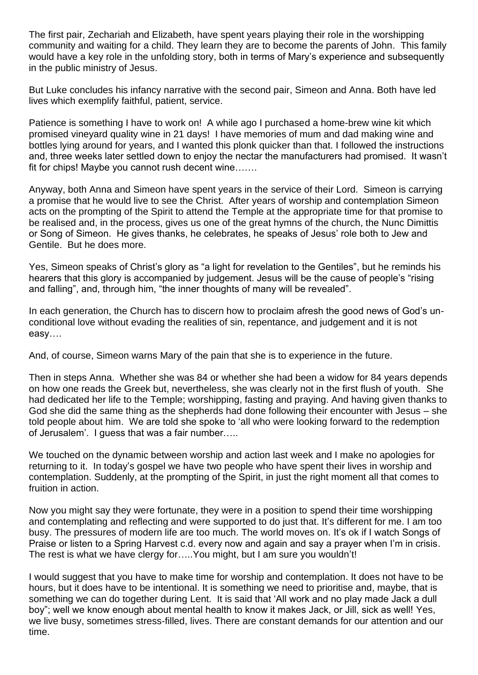The first pair, Zechariah and Elizabeth, have spent years playing their role in the worshipping community and waiting for a child. They learn they are to become the parents of John. This family would have a key role in the unfolding story, both in terms of Mary's experience and subsequently in the public ministry of Jesus.

But Luke concludes his infancy narrative with the second pair, Simeon and Anna. Both have led lives which exemplify faithful, patient, service.

Patience is something I have to work on! A while ago I purchased a home-brew wine kit which promised vineyard quality wine in 21 days! I have memories of mum and dad making wine and bottles lying around for years, and I wanted this plonk quicker than that. I followed the instructions and, three weeks later settled down to enjoy the nectar the manufacturers had promised. It wasn't fit for chips! Maybe you cannot rush decent wine…….

Anyway, both Anna and Simeon have spent years in the service of their Lord. Simeon is carrying a promise that he would live to see the Christ. After years of worship and contemplation Simeon acts on the prompting of the Spirit to attend the Temple at the appropriate time for that promise to be realised and, in the process, gives us one of the great hymns of the church, the Nunc Dimittis or Song of Simeon. He gives thanks, he celebrates, he speaks of Jesus' role both to Jew and Gentile. But he does more.

Yes, Simeon speaks of Christ's glory as "a light for revelation to the Gentiles", but he reminds his hearers that this glory is accompanied by judgement. Jesus will be the cause of people's "rising and falling", and, through him, "the inner thoughts of many will be revealed".

In each generation, the Church has to discern how to proclaim afresh the good news of God's unconditional love without evading the realities of sin, repentance, and judgement and it is not easy….

And, of course, Simeon warns Mary of the pain that she is to experience in the future.

Then in steps Anna. Whether she was 84 or whether she had been a widow for 84 years depends on how one reads the Greek but, nevertheless, she was clearly not in the first flush of youth. She had dedicated her life to the Temple; worshipping, fasting and praying. And having given thanks to God she did the same thing as the shepherds had done following their encounter with Jesus – she told people about him. We are told she spoke to 'all who were looking forward to the redemption of Jerusalem'. I guess that was a fair number…..

We touched on the dynamic between worship and action last week and I make no apologies for returning to it. In today's gospel we have two people who have spent their lives in worship and contemplation. Suddenly, at the prompting of the Spirit, in just the right moment all that comes to fruition in action.

Now you might say they were fortunate, they were in a position to spend their time worshipping and contemplating and reflecting and were supported to do just that. It's different for me. I am too busy. The pressures of modern life are too much. The world moves on. It's ok if I watch Songs of Praise or listen to a Spring Harvest c.d. every now and again and say a prayer when I'm in crisis. The rest is what we have clergy for…..You might, but I am sure you wouldn't!

I would suggest that you have to make time for worship and contemplation. It does not have to be hours, but it does have to be intentional. It is something we need to prioritise and, maybe, that is something we can do together during Lent. It is said that 'All work and no play made Jack a dull boy"; well we know enough about mental health to know it makes Jack, or Jill, sick as well! Yes, we live busy, sometimes stress-filled, lives. There are constant demands for our attention and our time.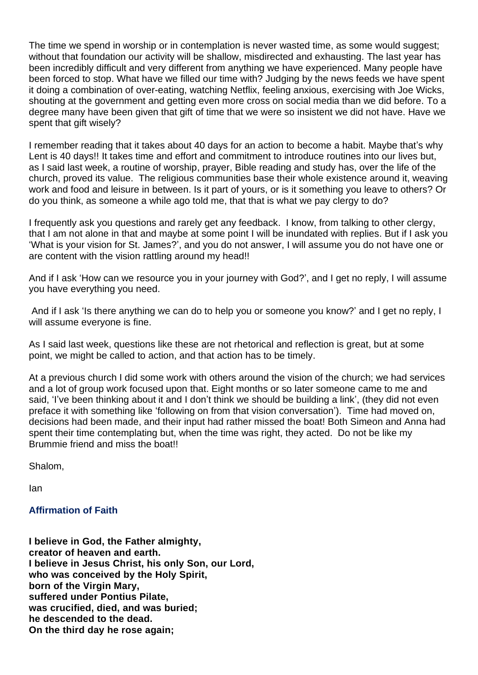The time we spend in worship or in contemplation is never wasted time, as some would suggest; without that foundation our activity will be shallow, misdirected and exhausting. The last year has been incredibly difficult and very different from anything we have experienced. Many people have been forced to stop. What have we filled our time with? Judging by the news feeds we have spent it doing a combination of over-eating, watching Netflix, feeling anxious, exercising with Joe Wicks, shouting at the government and getting even more cross on social media than we did before. To a degree many have been given that gift of time that we were so insistent we did not have. Have we spent that gift wisely?

I remember reading that it takes about 40 days for an action to become a habit. Maybe that's why Lent is 40 days!! It takes time and effort and commitment to introduce routines into our lives but, as I said last week, a routine of worship, prayer, Bible reading and study has, over the life of the church, proved its value. The religious communities base their whole existence around it, weaving work and food and leisure in between. Is it part of yours, or is it something you leave to others? Or do you think, as someone a while ago told me, that that is what we pay clergy to do?

I frequently ask you questions and rarely get any feedback. I know, from talking to other clergy, that I am not alone in that and maybe at some point I will be inundated with replies. But if I ask you 'What is your vision for St. James?', and you do not answer, I will assume you do not have one or are content with the vision rattling around my head!!

And if I ask 'How can we resource you in your journey with God?', and I get no reply, I will assume you have everything you need.

And if I ask 'Is there anything we can do to help you or someone you know?' and I get no reply, I will assume everyone is fine.

As I said last week, questions like these are not rhetorical and reflection is great, but at some point, we might be called to action, and that action has to be timely.

At a previous church I did some work with others around the vision of the church; we had services and a lot of group work focused upon that. Eight months or so later someone came to me and said, 'I've been thinking about it and I don't think we should be building a link', (they did not even preface it with something like 'following on from that vision conversation'). Time had moved on, decisions had been made, and their input had rather missed the boat! Both Simeon and Anna had spent their time contemplating but, when the time was right, they acted. Do not be like my Brummie friend and miss the boat!!

Shalom,

Ian

#### **Affirmation of Faith**

**I believe in God, the Father almighty, creator of heaven and earth. I believe in Jesus Christ, his only Son, our Lord, who was conceived by the Holy Spirit, born of the Virgin Mary, suffered under Pontius Pilate, was crucified, died, and was buried; he descended to the dead. On the third day he rose again;**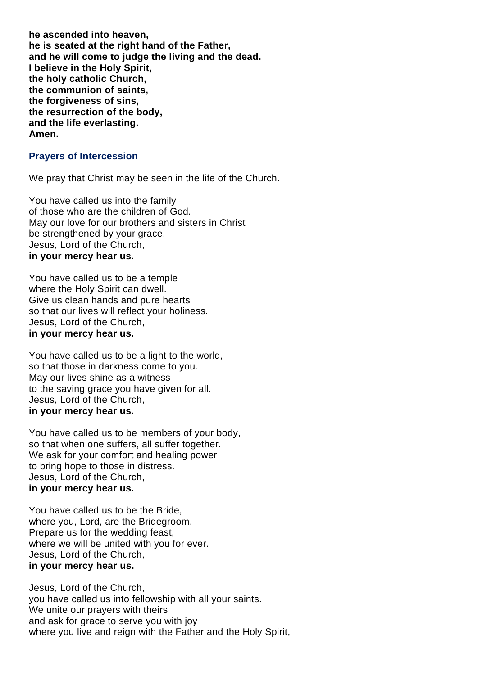**he ascended into heaven, he is seated at the right hand of the Father, and he will come to judge the living and the dead. I believe in the Holy Spirit, the holy catholic Church, the communion of saints, the forgiveness of sins, the resurrection of the body, and the life everlasting. Amen.**

#### **Prayers of Intercession**

We pray that Christ may be seen in the life of the Church.

You have called us into the family of those who are the children of God. May our love for our brothers and sisters in Christ be strengthened by your grace. Jesus, Lord of the Church, **in your mercy hear us.**

You have called us to be a temple where the Holy Spirit can dwell. Give us clean hands and pure hearts so that our lives will reflect your holiness. Jesus, Lord of the Church, **in your mercy hear us.**

You have called us to be a light to the world, so that those in darkness come to you. May our lives shine as a witness to the saving grace you have given for all. Jesus, Lord of the Church, **in your mercy hear us.**

You have called us to be members of your body, so that when one suffers, all suffer together. We ask for your comfort and healing power to bring hope to those in distress. Jesus, Lord of the Church, **in your mercy hear us.**

You have called us to be the Bride, where you, Lord, are the Bridegroom. Prepare us for the wedding feast, where we will be united with you for ever. Jesus, Lord of the Church, **in your mercy hear us.**

Jesus, Lord of the Church, you have called us into fellowship with all your saints. We unite our prayers with theirs and ask for grace to serve you with joy where you live and reign with the Father and the Holy Spirit,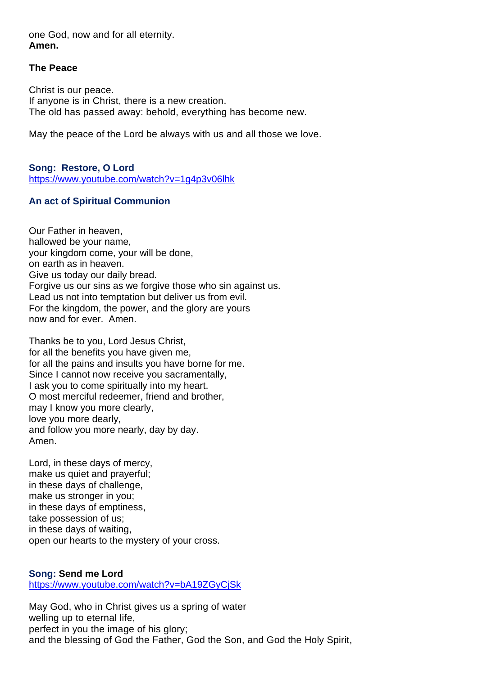one God, now and for all eternity. **Amen.**

#### **The Peace**

Christ is our peace. If anyone is in Christ, there is a new creation. The old has passed away: behold, everything has become new.

May the peace of the Lord be always with us and all those we love.

**Song: Restore, O Lord** https://www.youtube.com/watch?v=1g4p3v06lhk

## **An act of Spiritual Communion**

Our Father in heaven, hallowed be your name, your kingdom come, your will be done, on earth as in heaven. Give us today our daily bread. Forgive us our sins as we forgive those who sin against us. Lead us not into temptation but deliver us from evil. For the kingdom, the power, and the glory are yours now and for ever. Amen.

Thanks be to you, Lord Jesus Christ, for all the benefits you have given me, for all the pains and insults you have borne for me. Since I cannot now receive you sacramentally, I ask you to come spiritually into my heart. O most merciful redeemer, friend and brother, may I know you more clearly, love you more dearly, and follow you more nearly, day by day. Amen.

Lord, in these days of mercy, make us quiet and prayerful; in these days of challenge, make us stronger in you; in these days of emptiness, take possession of us; in these days of waiting, open our hearts to the mystery of your cross.

## **Song: Send me Lord**

https://www.youtube.com/watch?v=bA19ZGyCjSk

May God, who in Christ gives us a spring of water welling up to eternal life, perfect in you the image of his glory; and the blessing of God the Father, God the Son, and God the Holy Spirit,